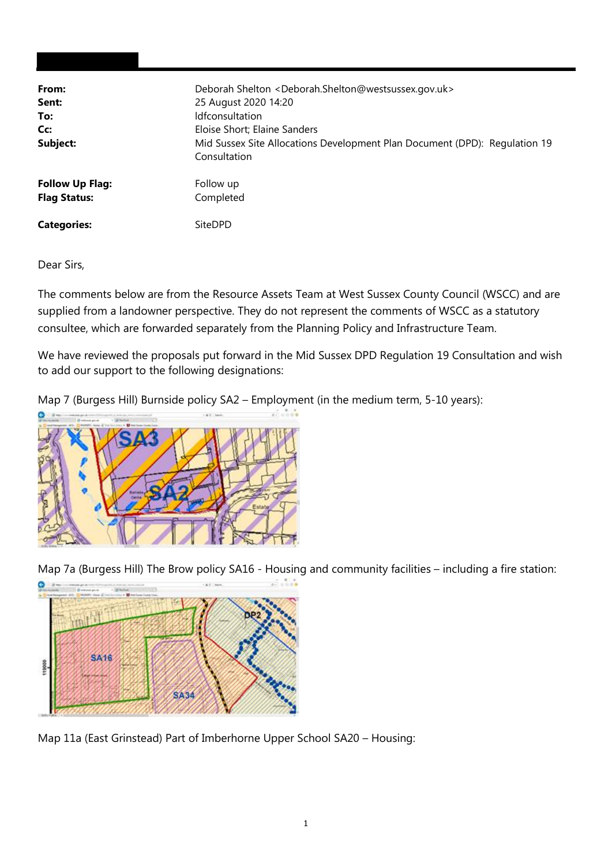| From:                  | Deborah Shelton <deborah.shelton@westsussex.gov.uk></deborah.shelton@westsussex.gov.uk>    |
|------------------------|--------------------------------------------------------------------------------------------|
| Sent:                  | 25 August 2020 14:20                                                                       |
| To:                    | <b>Idfconsultation</b>                                                                     |
| Cc:                    | Eloise Short; Elaine Sanders                                                               |
| Subject:               | Mid Sussex Site Allocations Development Plan Document (DPD): Regulation 19<br>Consultation |
| <b>Follow Up Flag:</b> | Follow up                                                                                  |
| <b>Flag Status:</b>    | Completed                                                                                  |
| <b>Categories:</b>     | <b>SiteDPD</b>                                                                             |

Dear Sirs,

The comments below are from the Resource Assets Team at West Sussex County Council (WSCC) and are supplied from a landowner perspective. They do not represent the comments of WSCC as a statutory consultee, which are forwarded separately from the Planning Policy and Infrastructure Team.

We have reviewed the proposals put forward in the Mid Sussex DPD Regulation 19 Consultation and wish to add our support to the following designations:

Map 7 (Burgess Hill) Burnside policy SA2 – Employment (in the medium term, 5-10 years):



Map 7a (Burgess Hill) The Brow policy SA16 - Housing and community facilities – including a fire station:



Map 11a (East Grinstead) Part of Imberhorne Upper School SA20 – Housing: